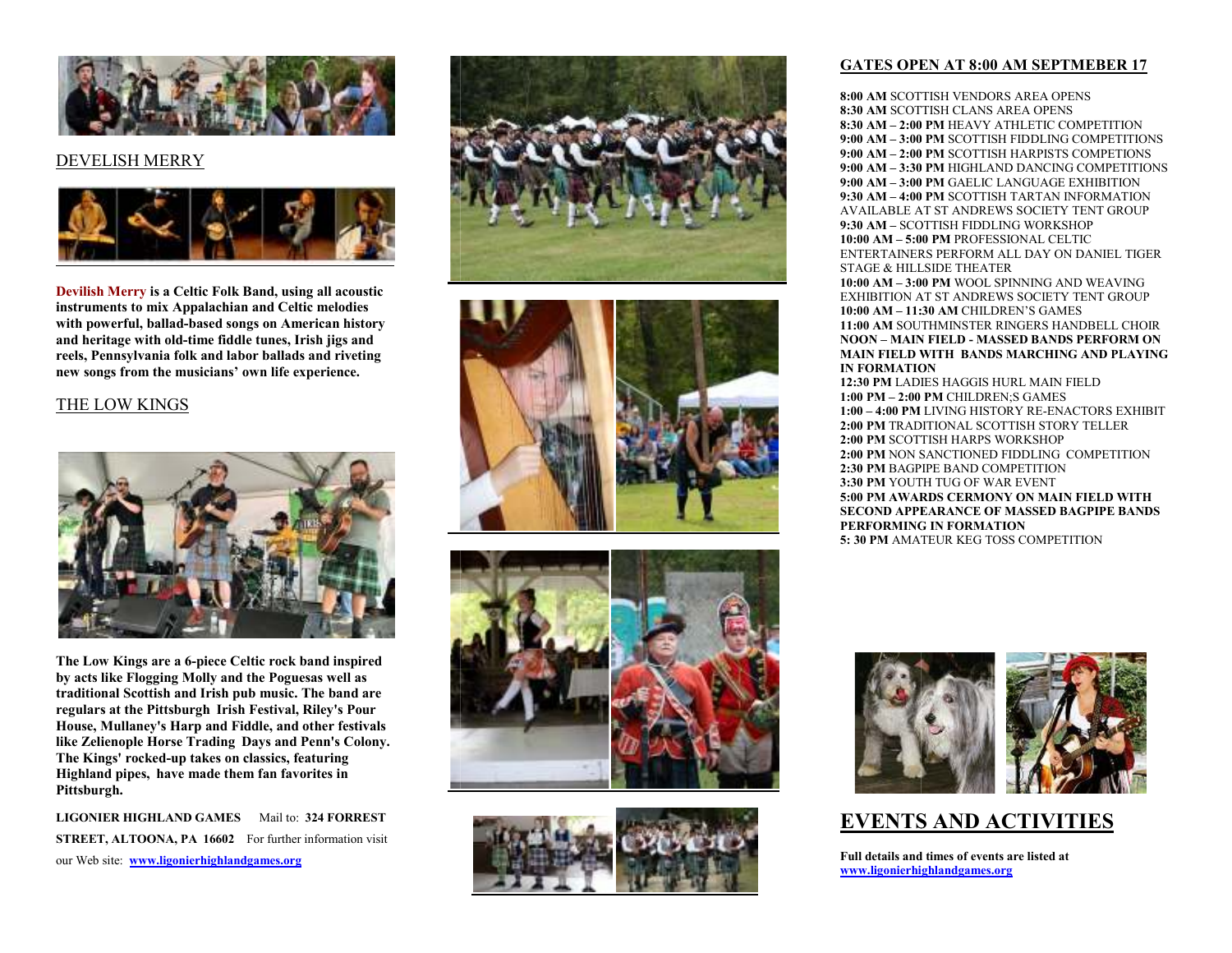

#### DEVELISH MERRY



**Devilish Merry is a Celtic Folk Band, using all acoustic instruments to mix Appalachian and Celtic melodies with powerful, ballad-based songs on American history and heritage with old-time fiddle tunes, Irish jigs and reels, Pennsylvania folk and labor ballads and riveting new songs from the musicians' own life experience.**

#### THE LOW KINGS



**The Low Kings are a 6-piece Celtic rock band inspired by acts like Flogging Molly and the Poguesas well as traditional Scottish and Irish pub music. The band are regulars at the Pittsburgh Irish Festival, Riley's Pour House, Mullaney's Harp and Fiddle, and other festivals like Zelienople Horse Trading Days and Penn's Colony. The Kings' rocked-up takes on classics, featuring Highland pipes, have made them fan favorites in Pittsburgh.**

**LIGONIER HIGHLAND GAMES** Mail to: **324 FORREST STREET, ALTOONA, PA 16602** For further information visit our Web site: **www.ligonierhighlandgames.org**









#### **GATES OPEN AT 8:00 AMAM SEPTMEBER 17**

**8:00 AM** SCOTTISH VENDORS AREA OPENS<br>8:30 AM SCOTTISH CLANS AREA OPENS **8:30 AM** SCOTTISH CLANS AREA OPENS<br>8:30 AM – 2:00 PM HEAVY ATHI ETIC CO **8:30 AM – 2:00 PM** HEAVY ATHLETIC COMPETITION **9:00 AM – 3:00 PM** SCOTTISH FIDDLING COMPETITIONS **9:00 AM – 2:00 PM** SCOTTISH HARPISTS COMPETIONS **9:00 AM – 3:30 PM** HIGHLAND DANCING COMPETITIONS **9:00 AM – 3:00 PM** GAELIC LANGUAGE EXHIBITION **9:30 AM – 4:00 PM** SCOTTISH TARTAN INFORMATION AVAILABLE AT ST ANDREWS SOCIETY TENT GROUP **9:30 AM –** SCOTTISH FIDDLING WORKSHOP **10:00 AM – 5:00 PM** PROFESSIONAL CELTIC ENTERTAINERS PERFORM ALL DAY ON DANIEL TIGER STAGE & HILLSIDE THEATER **10:00 AM – 3:00 PM WOOL SPINNING AND WEAVING**  EXHIBITION AT ST ANDREWS SOCIETY TENT GROUP **10:00 AM – 11:30 AM** CHILDREN'S GAMES

11:00 AM SOUTHMINSTER RINGERS HANDBELL CHOIR<br>NOON – MAIN EIELD - MASSED BANDS PEREORM ON **NOON – MAIN FIELD - MASSED BANDS PERFORM ON MAIN FIELD WITH BANDS MARCHING AND PLAYING IN FORMATION** 

 **12:30 PM** LADIES HAGGIS HURL MAIN FIELD **1:00 PM – 2:00 PM:00**  CHILDREN;S GAMES **1:00 – 4:00 PM** LIVING HISTORY RE-ENACTORS EXHIBIT **2:00 PM** TRADITIONAL SCOTTISH STORY TELLER **2:00 PM**2:00 PM SCOTTISH HARPS WORKSHOP<br>2:00 PM NON SANCTIONED FIDDLING COMPETITION 2:00 PM NON SANCTIONED FIDD<br>2:30 PM BAGPIPE BAND COMPET **2:30 PM** BAGPIPE BAND COMPETITION<br>**3:30 PM** YOUTH TUG OF WAR EVENT 3:30 PM YOUTH TUG OF WAR EVENT<br>5:00 PM AWARDS CERMONY ON MA 5:00 PM AWARDS CERMONY ON MAIN FIELD WITH<br>SECOND APPEARANCE OF MASSED BAGPIPE BANDS **PERFORMING IN FOFORMATION 5: 30 PM** AMATEUR KEG TOSS COMPETITION



## **EVENTS AND ACTIVITIES**

**Full details and times of events etails are listed at www.ligonierhighlandgames.org**